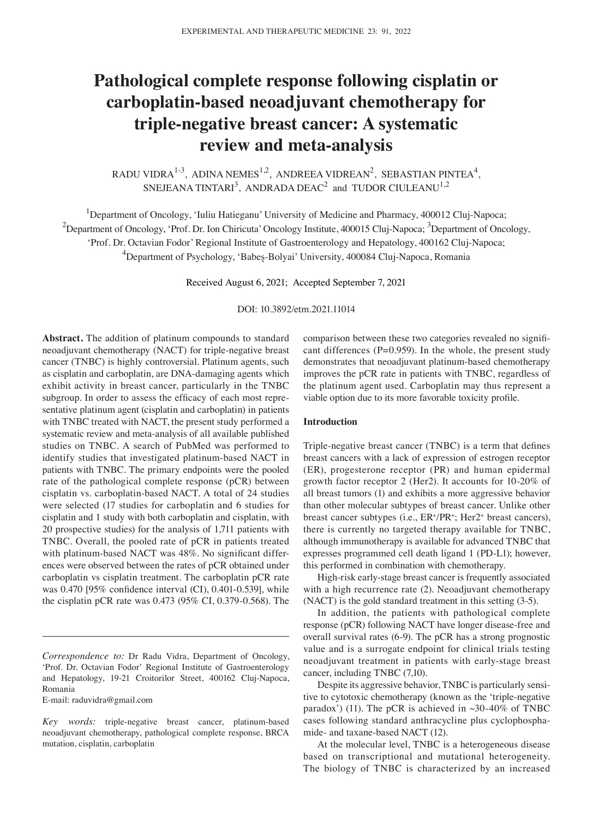# **Pathological complete response following cisplatin or carboplatin‑based neoadjuvant chemotherapy for triple‑negative breast cancer: A systematic review and meta‑analysis**

RADU VIDRA $^{1-3}$ , ADINA NEMES $^{1,2}$ , ANDREEA VIDREAN<sup>2</sup>, SEBASTIAN PINTEA<sup>4</sup>, SNEJEANA TINTARI<sup>3</sup>, ANDRADA DEAC<sup>2</sup> and TUDOR CIULEANU<sup>1,2</sup>

<sup>1</sup>Department of Oncology, 'Iuliu Hatieganu' University of Medicine and Pharmacy, 400012 Cluj-Napoca;  $^2$ Department of Oncology, 'Prof. Dr. Ion Chiricuta' Oncology Institute, 400015 Cluj-Napoca;  $^3$ Department of Oncology, 'Prof. Dr. Octavian Fodor' Regional Institute of Gastroenterology and Hepatology, 400162 Cluj‑Napoca; 4 Department of Psychology, 'Babeș‑Bolyai' University, 400084 Cluj‑Napoca, Romania

Received August 6, 2021; Accepted September 7, 2021

DOI: 10.3892/etm.2021.11014

**Abstract.** The addition of platinum compounds to standard neoadjuvant chemotherapy (NACT) for triple‑negative breast cancer (TNBC) is highly controversial. Platinum agents, such as cisplatin and carboplatin, are DNA‑damaging agents which exhibit activity in breast cancer, particularly in the TNBC subgroup. In order to assess the efficacy of each most representative platinum agent (cisplatin and carboplatin) in patients with TNBC treated with NACT, the present study performed a systematic review and meta‑analysis of all available published studies on TNBC. A search of PubMed was performed to identify studies that investigated platinum-based NACT in patients with TNBC. The primary endpoints were the pooled rate of the pathological complete response (pCR) between cisplatin vs. carboplatin‑based NACT. A total of 24 studies were selected (17 studies for carboplatin and 6 studies for cisplatin and 1 study with both carboplatin and cisplatin, with 20 prospective studies) for the analysis of 1,711 patients with TNBC. Overall, the pooled rate of pCR in patients treated with platinum-based NACT was 48%. No significant differences were observed between the rates of pCR obtained under carboplatin vs cisplatin treatment. The carboplatin pCR rate was 0.470 [95% confidence interval (CI), 0.401-0.539], while the cisplatin pCR rate was 0.473 (95% CI, 0.379‑0.568). The

E‑mail: raduvidra@gmail.com

comparison between these two categories revealed no significant differences ( $P=0.959$ ). In the whole, the present study demonstrates that neoadjuvant platinum‑based chemotherapy improves the pCR rate in patients with TNBC, regardless of the platinum agent used. Carboplatin may thus represent a viable option due to its more favorable toxicity profile.

## **Introduction**

Triple-negative breast cancer (TNBC) is a term that defines breast cancers with a lack of expression of estrogen receptor (ER), progesterone receptor (PR) and human epidermal growth factor receptor 2 (Her2). It accounts for 10‑20% of all breast tumors (1) and exhibits a more aggressive behavior than other molecular subtypes of breast cancer. Unlike other breast cancer subtypes (i.e.,  $ER^{\dagger}/PR^{\dagger}$ ; Her2<sup>+</sup> breast cancers), there is currently no targeted therapy available for TNBC, although immunotherapy is available for advanced TNBC that expresses programmed cell death ligand 1 (PD‑L1); however, this performed in combination with chemotherapy.

High-risk early-stage breast cancer is frequently associated with a high recurrence rate (2). Neoadjuvant chemotherapy (NACT) is the gold standard treatment in this setting (3‑5).

In addition, the patients with pathological complete response (pCR) following NACT have longer disease‑free and overall survival rates (6‑9). The pCR has a strong prognostic value and is a surrogate endpoint for clinical trials testing neoadjuvant treatment in patients with early‑stage breast cancer, including TNBC (7,10).

Despite its aggressive behavior, TNBC is particularly sensitive to cytotoxic chemotherapy (known as the 'triple-negative paradox') (11). The pCR is achieved in  $\sim$ 30-40% of TNBC cases following standard anthracycline plus cyclophosphamide- and taxane-based NACT (12).

At the molecular level, TNBC is a heterogeneous disease based on transcriptional and mutational heterogeneity. The biology of TNBC is characterized by an increased

*Correspondence to:* Dr Radu Vidra, Department of Oncology, 'Prof. Dr. Octavian Fodor' Regional Institute of Gastroenterology and Hepatology, 19-21 Croitorilor Street, 400162 Cluj-Napoca, Romania

Key words: triple-negative breast cancer, platinum-based neoadjuvant chemotherapy, pathological complete response, BRCA mutation, cisplatin, carboplatin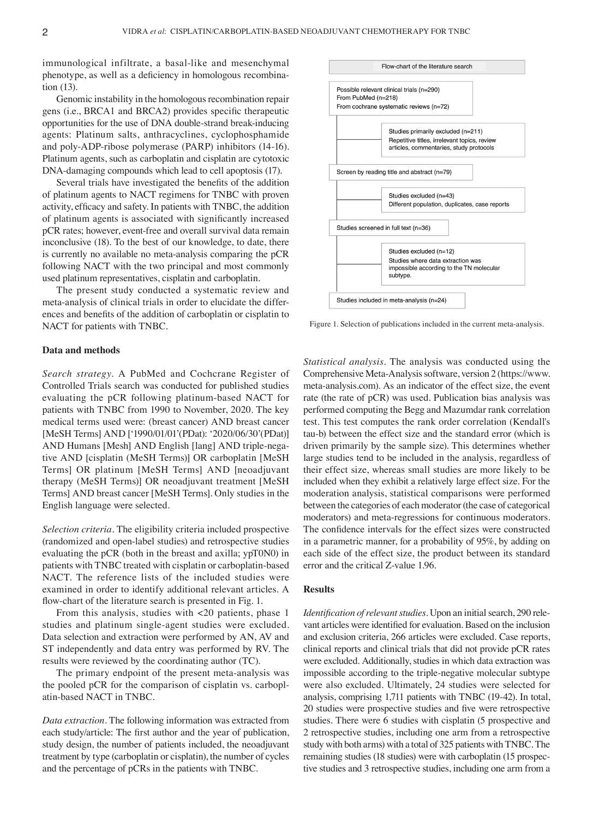immunological infiltrate, a basal-like and mesenchymal phenotype, as well as a deficiency in homologous recombination (13).

Genomic instability in the homologous recombination repair gens (i.e., BRCA1 and BRCA2) provides specific therapeutic opportunities for the use of DNA double‑strand break‑inducing agents: Platinum salts, anthracyclines, cyclophosphamide and poly‑ADP‑ribose polymerase (PARP) inhibitors (14‑16). Platinum agents, such as carboplatin and cisplatin are cytotoxic DNA-damaging compounds which lead to cell apoptosis (17).

Several trials have investigated the benefits of the addition of platinum agents to NACT regimens for TNBC with proven activity, efficacy and safety. In patients with TNBC, the addition of platinum agents is associated with significantly increased pCR rates; however, event-free and overall survival data remain inconclusive (18). To the best of our knowledge, to date, there is currently no available no meta-analysis comparing the pCR following NACT with the two principal and most commonly used platinum representatives, cisplatin and carboplatin.

The present study conducted a systematic review and meta-analysis of clinical trials in order to elucidate the differences and benefits of the addition of carboplatin or cisplatin to NACT for patients with TNBC.

## **Data and methods**

*Search strategy.* A PubMed and Cochcrane Register of Controlled Trials search was conducted for published studies evaluating the pCR following platinum‑based NACT for patients with TNBC from 1990 to November, 2020. The key medical terms used were: (breast cancer) AND breast cancer [MeSH Terms] AND ['1990/01/01'(PDat): '2020/06/30'(PDat)] AND Humans [Mesh] AND English [lang] AND triple-negative AND [cisplatin (MeSH Terms)] OR carboplatin [MeSH Terms] OR platinum [MeSH Terms] AND [neoadjuvant therapy (MeSH Terms)] OR neoadjuvant treatment [MeSH Terms] AND breast cancer [MeSH Terms]. Only studies in the English language were selected.

*Selection criteria.* The eligibility criteria included prospective (randomized and open‑label studies) and retrospective studies evaluating the pCR (both in the breast and axilla; ypT0N0) in patients with TNBC treated with cisplatin or carboplatin-based NACT. The reference lists of the included studies were examined in order to identify additional relevant articles. A flow-chart of the literature search is presented in Fig. 1.

From this analysis, studies with <20 patients, phase 1 studies and platinum single‑agent studies were excluded. Data selection and extraction were performed by AN, AV and ST independently and data entry was performed by RV. The results were reviewed by the coordinating author (TC).

The primary endpoint of the present meta-analysis was the pooled pCR for the comparison of cisplatin vs. carboplatin‑based NACT in TNBC.

*Data extraction.* The following information was extracted from each study/article: The first author and the year of publication, study design, the number of patients included, the neoadjuvant treatment by type (carboplatin or cisplatin), the number of cycles and the percentage of pCRs in the patients with TNBC.



Figure 1. Selection of publications included in the current meta-analysis.

*Statistical analysis.* The analysis was conducted using the Comprehensive Meta‑Analysis software, version 2 (https://www. meta‑analysis.com). As an indicator of the effect size, the event rate (the rate of pCR) was used. Publication bias analysis was performed computing the Begg and Mazumdar rank correlation test. This test computes the rank order correlation (Kendall's tau‑b) between the effect size and the standard error (which is driven primarily by the sample size). This determines whether large studies tend to be included in the analysis, regardless of their effect size, whereas small studies are more likely to be included when they exhibit a relatively large effect size. For the moderation analysis, statistical comparisons were performed between the categories of each moderator (the case of categorical moderators) and meta‑regressions for continuous moderators. The confidence intervals for the effect sizes were constructed in a parametric manner, for a probability of 95%, by adding on each side of the effect size, the product between its standard error and the critical Z-value 1.96.

#### **Results**

*Identification of relevant studies.* Upon an initial search, 290 relevant articles were identified for evaluation. Based on the inclusion and exclusion criteria, 266 articles were excluded. Case reports, clinical reports and clinical trials that did not provide pCR rates were excluded. Additionally, studies in which data extraction was impossible according to the triple‑negative molecular subtype were also excluded. Ultimately, 24 studies were selected for analysis, comprising 1,711 patients with TNBC (19‑42). In total, 20 studies were prospective studies and five were retrospective studies. There were 6 studies with cisplatin (5 prospective and 2 retrospective studies, including one arm from a retrospective study with both arms) with a total of 325 patients with TNBC. The remaining studies (18 studies) were with carboplatin (15 prospective studies and 3 retrospective studies, including one arm from a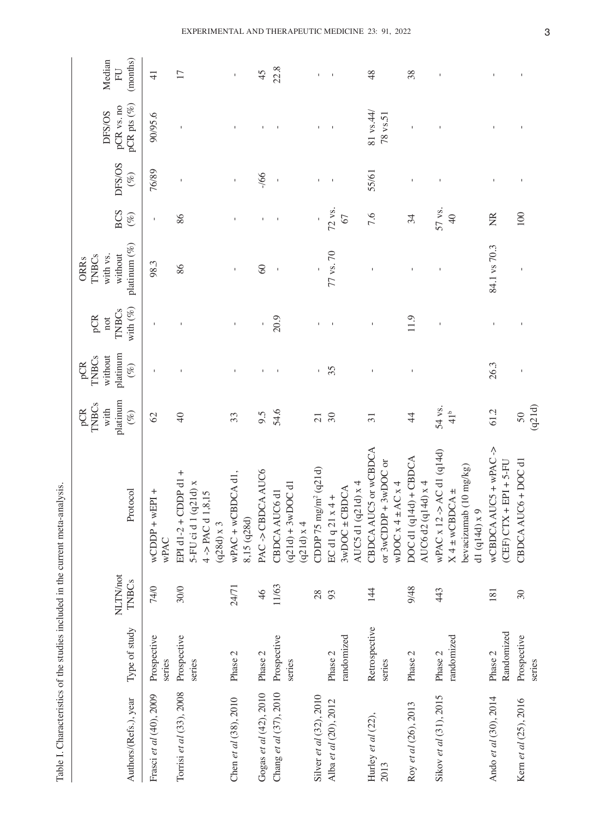| Authors/(Refs.), year      | Type of study           | NLTN/not<br><b>TNBCs</b> | Protocol                                                                                      | platinum<br><b>TNBCs</b><br>with<br>pCR<br>$(\%)$ | platinum<br><b>TNBCs</b><br>without<br>pCR<br>$(\%)$ | with $(\%)$<br><b>TNBCs</b><br>pCR<br>$\operatorname{\sf not}$ | platinum (%)<br>without<br><b>TNBCs</b><br>with vs.<br><b>ORRs</b> | <b>BCS</b><br>$(\%)$      | DFS/OS<br>$(\%)$ | pCR pts $(\%)$<br>pCR vs. no<br>DFS/OS | Median<br>(months)<br>FU |
|----------------------------|-------------------------|--------------------------|-----------------------------------------------------------------------------------------------|---------------------------------------------------|------------------------------------------------------|----------------------------------------------------------------|--------------------------------------------------------------------|---------------------------|------------------|----------------------------------------|--------------------------|
| Frasci et al (40), 2009    | Prospective<br>series   | 74/0                     | $\overline{P1}$<br>$wCDDP + wE$<br>wPAC                                                       | 62                                                |                                                      |                                                                | 98.3                                                               | $\mathbf I$               | 76/89            | 90/95.6                                | $\frac{1}{4}$            |
| Torrisi et al (33), 2008   | Prospective<br>series   | 30/0                     | EPI d1-2 + CDDP d1 +<br>5-FU ci d 1 (q21d) x<br>$4 - PAC d1, 8, 15$<br>$(q28d)$ x 3           | $\overline{40}$                                   |                                                      |                                                                | 86                                                                 | 86                        |                  |                                        | 17                       |
| Chen et al (38), 2010      | Phase 2                 | 24/71                    | wPAC + wCBDCA d1,<br>8,15 (q28d)                                                              | 33                                                |                                                      | $\mathbf I$                                                    |                                                                    | $\mathbf{I}$              |                  |                                        | $\bar{1}$                |
| Gogas et al (42), 2010     | Phase 2                 | 46                       | PAC->CBDCAAUC6                                                                                | 6.6                                               |                                                      |                                                                | $\otimes$                                                          |                           | $-166$           |                                        | 45                       |
| Chang et al (37), 2010     | Prospective<br>series   | 11/63                    | $(q21d) + 3wDOC d1$<br>CBDCA AUC6 d1<br>(q21d) x4                                             | 54.6                                              |                                                      | 20.9                                                           | $\overline{\phantom{a}}$                                           | $\,$ l                    |                  |                                        | 22.8                     |
| Silver et al (32), 2010    |                         | 28                       | CDDP 75 $mg/m^2$ (q21d)                                                                       | $\overline{21}$                                   |                                                      |                                                                |                                                                    |                           | $\overline{1}$   |                                        | $\mathsf I$              |
| Alba et al (20), 2012      | randomized<br>Phase 2   | 93                       | AUC5 d1 $(q21d)$ x 4<br>$3wDOC \pm CBDCA$<br>$ECd1q21x4+$                                     | $30\,$                                            | 35                                                   |                                                                | 77 vs. 70                                                          | 72 vs.<br>67              | $\,$ I           |                                        |                          |
| Hurley et al (22),<br>2013 | Retrospective<br>series | 144                      | CBDCA AUC5 or wCBDCA<br>or $3wCDDP + 3wDOC$ or<br>wDOC $x$ 4 $\pm$ AC $x$ 4                   | $\overline{31}$                                   |                                                      |                                                                |                                                                    | 7.6                       | 55/61            | $81$ vs.44<br>78 vs.51                 | 48                       |
| Roy et al (26), 2013       | Phase 2                 | 9/48                     | DOC d1 (q14d) + CBDCA<br>AUC6 d2 (q14d) x 4                                                   | $\frac{4}{4}$                                     |                                                      | $\frac{0}{11}$                                                 |                                                                    | 34                        |                  |                                        | 38                       |
| Sikov et al (31), 2015     | randomized<br>Phase 2   | 443                      | wPAC x 12 -> AC d1 (q14d)<br>bevacizumab (10 mg/kg)<br>$X4 \pm wCBDCA \pm$<br>d1 (q14d) $x$ 9 | 54 vs.<br>41 <sup>b</sup>                         |                                                      |                                                                |                                                                    | 57 vs.<br>$\overline{40}$ |                  |                                        | $\mathsf I$              |
| Ando et al (30), 2014      | Randomized<br>Phase 2   | 181                      | wCBDCAAUC5 + wPAC-><br>$EPI + 5-FU$<br>$(CHF)$ $CTX +$                                        | 61.2                                              | 26.3                                                 |                                                                | 84.1 vs 70.3                                                       | g                         |                  |                                        |                          |
| Kern et al (25), 2016      | Prospective<br>series   | 30                       | CBDCA AUC6 + DOC d1                                                                           | $\frac{50}{(q21d)}$                               |                                                      |                                                                |                                                                    | 100                       |                  |                                        |                          |

Table I. Characteristics of the studies included in the current meta-analysis. Table I. Characteristics of the studies included in the current meta‑analysis.

3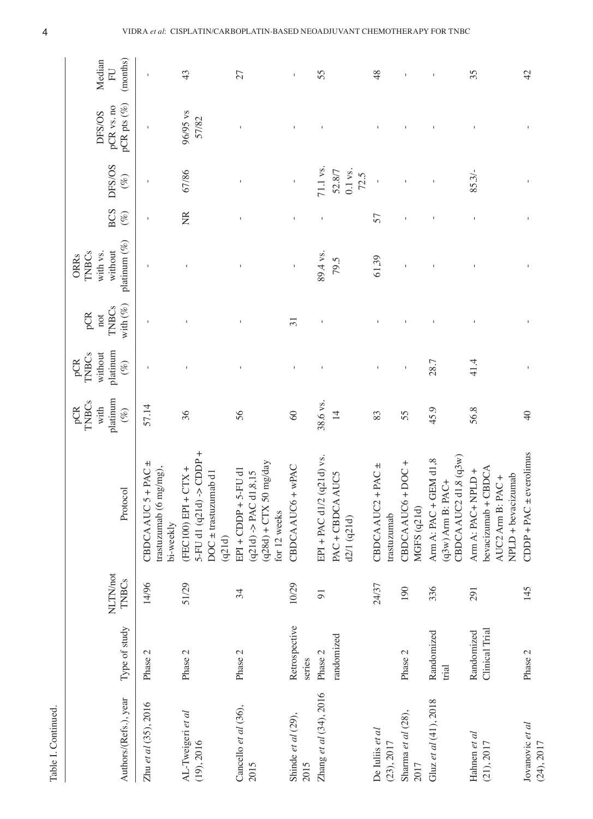| Table I. Continued.             |                              |                          |                                                                                                       |                                            |                                               |                                                                |                                                             |                      |                                           |                                        |                          |
|---------------------------------|------------------------------|--------------------------|-------------------------------------------------------------------------------------------------------|--------------------------------------------|-----------------------------------------------|----------------------------------------------------------------|-------------------------------------------------------------|----------------------|-------------------------------------------|----------------------------------------|--------------------------|
| Authors/(Refs.), year           | Type of study                | NLTN/not<br><b>TNBCs</b> | Protocol                                                                                              | platinum<br>TNBCs<br>with<br>$(\%)$<br>pCR | platinum<br>without<br>TNBCs<br>pCR<br>$(\%)$ | with $(\%)$<br><b>TNBCs</b><br>pCR<br>$\operatorname{\sf not}$ | platinum (%)<br>with vs.<br>without<br>TNBCs<br><b>ORRs</b> | <b>BCS</b><br>$(\%)$ | DFS/OS<br>$(\%)$                          | pCR pts $(\%)$<br>pCR vs. no<br>DFS/OS | (months)<br>Median<br>FU |
| Zhu et al (35), 2016            | Phase 2                      | 14/96                    | CBDCA AUC $5 + PAC \pm$<br>trastuzumab (6 mg/mg),<br>bi-weekly                                        | 57.14                                      |                                               |                                                                |                                                             | $\mathbf I$          | $\mathbf{I}$                              | $\mathbf{I}$                           | $\mathsf I$              |
| AL-Tweigeri et al<br>(19), 2016 | Phase 2                      | 51/29                    | 5-FU d1 $(q21d) \rightarrow$ CDDP +<br>$(FEC100)$ EPI + $CTX +$<br>$DOC \pm$ trastuzumab d1<br>(q21d) | 36                                         | $\mathbf{I}$                                  |                                                                |                                                             | $\widetilde{\Xi}$    | 67/86                                     | 96/95 vs<br>57/82                      | 43                       |
| Cancello et al (36),<br>2015    | Phase 2                      | 34                       | $(q28d) + CTX$ 50 mg/day<br>5-FU d1<br>d1, 8, 15<br>$EPI + CDDP +$<br>$(q21d) - PAC$<br>for 12 weeks  | 56                                         | $\mathbf{I}$                                  | $\mathbf{I}$                                                   | $\mathbf{I}$                                                |                      |                                           |                                        | 27                       |
| Shinde et al (29),<br>2015      | Retrospective<br>series      | 10/29                    | $+$ wPAC<br>CBDCA AUC6                                                                                | $\otimes$                                  | $\mathbf{I}$                                  | $\overline{31}$                                                | $\mathbf{I}$                                                |                      | $\mathbf I$                               |                                        | $\mathsf{I}$             |
| Zhang et al (34), 2016          | randomized<br>Phase 2        | $\overline{9}$           | EPI + PAC d1/2 (q21d) vs.<br>PAC + CBDCA AUC5<br>d2/1 (q21d)                                          | 38.6 vs.<br>$\overline{4}$                 |                                               |                                                                | 89.4 vs.<br>79.5                                            |                      | $71.1$ vs.<br>$0.1$ vs.<br>52.8/7<br>72.5 |                                        | 55                       |
| De Iuliis et al<br>(23), 2017   |                              | 24/37                    | $+$ PAC $\pm$<br>CBDCA AUC2<br>trastuzumab                                                            | 83                                         | $\mathfrak l$                                 |                                                                | 61,39                                                       | 57                   | $\mathbf I$                               |                                        | 48                       |
| Sharma et al (28),<br>2017      | Phase 2                      | 190                      | $+$ DOC +<br>CBDCA AUC6<br>MGFS (q21d)                                                                | 55                                         | $\mathsf I$                                   |                                                                | $\mathbf{I}$                                                | I,                   |                                           |                                        | $\mathsf I$              |
| Gluz et al (41), 2018           | Randomized<br>trial          | 336                      | CBDCA AUC2 d1,8 $(q3w)$<br>GEM d1,8<br>$(q3w)$ Arm B: PAC+<br>Arm A: PAC +                            | 45.9                                       | 28.7                                          |                                                                |                                                             |                      |                                           |                                        |                          |
| Hahnen et al<br>(21), 2017      | Clinical Trial<br>Randomized | 291                      | bevacizumab + CBDCA<br>Arm A: PAC+ NPLD +<br>$NPLD + bevacizumab$<br>PAC+<br>AUC2 Arm B:              | 56.8                                       | 41.4                                          |                                                                |                                                             | I.                   | 85.3/                                     |                                        | 35                       |
| Jovanovic et al<br>(24), 2017   | Phase 2                      | 145                      | CDDP + PAC $\pm$ everolimus                                                                           | $\Theta$                                   |                                               |                                                                |                                                             |                      |                                           |                                        | 42                       |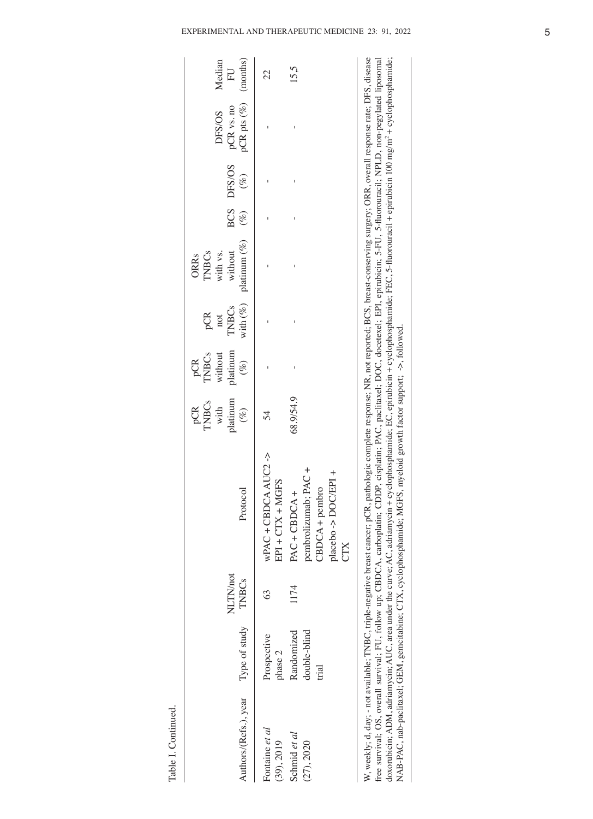|        |                           |            |        |              |              |              |              | CTX                             |              |               |                       |
|--------|---------------------------|------------|--------|--------------|--------------|--------------|--------------|---------------------------------|--------------|---------------|-----------------------|
|        |                           |            |        |              |              |              |              | placebo -> DOC/EPI +            |              |               |                       |
|        |                           |            |        |              |              |              |              | CBDCA + pembro                  |              | trial         |                       |
|        |                           |            |        |              |              |              |              | pembrolizumab; PAC +            |              | double-blind  | (27), 2020            |
| 15.5   |                           |            | I      | Ï            |              |              | 68.9/54.9    | $PAC + CBDCA +$                 | 1174         | Randomized    | Schmid et al          |
|        |                           |            |        |              |              |              |              | $EPI + CTX + MGFS$              |              | phase 2       | (39), 2019            |
| 22     |                           |            |        |              |              |              | 54           | $wPAC + CBDCA AUC2 \rightarrow$ | E            | Prospective   | Fontaine et al        |
|        | $pCR$ pts $(\%)$ (months) | $(\%)$     | $(\%)$ | platinum (%) | with $(\%)$  | $(\%)$       | $(\%)$       | Protocol                        | <b>TNBCs</b> | Type of study | Authors/(Refs.), year |
| EU     | pCR vs. no                | BCS DFS/OS |        | without      | <b>TNBCs</b> | platinum     | platinum     |                                 | NLTN/not     |               |                       |
| Median | DFS/OS                    |            |        | with vs.     | not          | without      | with         |                                 |              |               |                       |
|        |                           |            |        | <b>TNBCs</b> | pCR          | <b>TNBCs</b> | <b>TNBCs</b> |                                 |              |               |                       |
|        |                           |            |        | ORRs         |              | pCR          | pCR          |                                 |              |               |                       |

Table I. Continued.

Table I. Continued.

W, weekly; d, day; - not available; TNBC, triple-negative breast cancer; pCR, pathologic complete response; NR, not reported; BCS, breast-conserving surgery; ORR, overall response rate; DFS, disease free survival; OS, ove free survival; OS, overall survival; FU, follow up; CBDCA, carboplatin; CDDP, cisplatin; PAC, paclitaxel; DOC, docetexel; EPI, epirubicin; 5‑FU, 5‑fluorouracil; NPLD, non‑pegylated liposomal doxorubicin; ADM, adriamycin; AUC, area under the curve; AC, adriamycin + cyclophosphamide; EC, epirubicin + cyclophosphamide; FEC, 5‑fluorouracil + epirubicin 100 mg/m2 + cyclophosphamide; NAB‑PAC, nab‑paclitaxel; GEM, gemcitabine; CTX, cyclophosphamide; MGFS, myeloid growth factor support; ‑>, followed.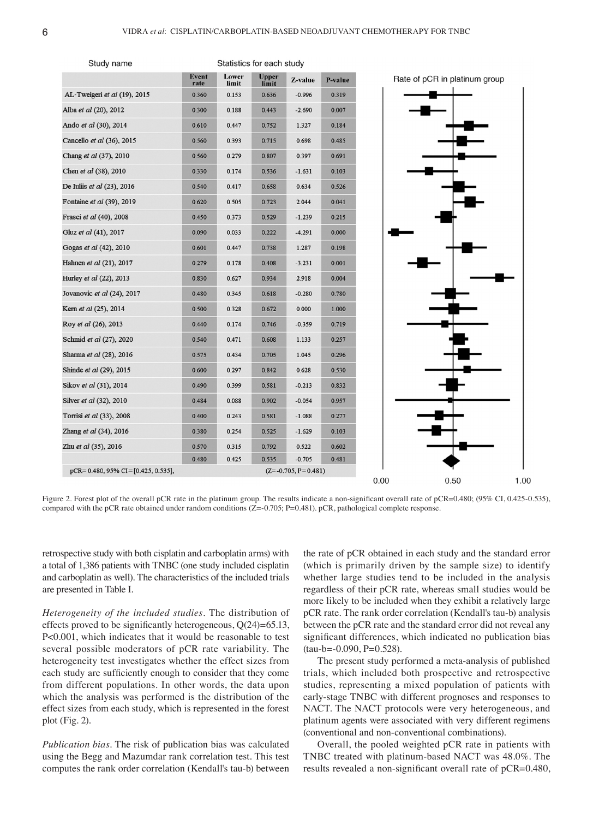



Figure 2. Forest plot of the overall pCR rate in the platinum group. The results indicate a non-significant overall rate of pCR=0.480; (95% CI, 0.425-0.535), compared with the pCR rate obtained under random conditions (Z=-0.705; P=0.481). pCR, pathological complete response.

retrospective study with both cisplatin and carboplatin arms) with a total of 1,386 patients with TNBC (one study included cisplatin and carboplatin as well). The characteristics of the included trials are presented in Table I.

*Heterogeneity of the included studies.* The distribution of effects proved to be significantly heterogeneous,  $Q(24)=65.13$ , P<0.001, which indicates that it would be reasonable to test several possible moderators of pCR rate variability. The heterogeneity test investigates whether the effect sizes from each study are sufficiently enough to consider that they come from different populations. In other words, the data upon which the analysis was performed is the distribution of the effect sizes from each study, which is represented in the forest plot (Fig. 2).

*Publication bias.* The risk of publication bias was calculated using the Begg and Mazumdar rank correlation test. This test computes the rank order correlation (Kendall's tau-b) between

the rate of pCR obtained in each study and the standard error (which is primarily driven by the sample size) to identify whether large studies tend to be included in the analysis regardless of their pCR rate, whereas small studies would be more likely to be included when they exhibit a relatively large pCR rate. The rank order correlation (Kendall's tau‑b) analysis between the pCR rate and the standard error did not reveal any significant differences, which indicated no publication bias  $(tau-b=-0.090, P=0.528).$ 

The present study performed a meta‑analysis of published trials, which included both prospective and retrospective studies, representing a mixed population of patients with early‑stage TNBC with different prognoses and responses to NACT. The NACT protocols were very heterogeneous, and platinum agents were associated with very different regimens (conventional and non‑conventional combinations).

Overall, the pooled weighted pCR rate in patients with TNBC treated with platinum‑based NACT was 48.0%. The results revealed a non-significant overall rate of pCR=0.480,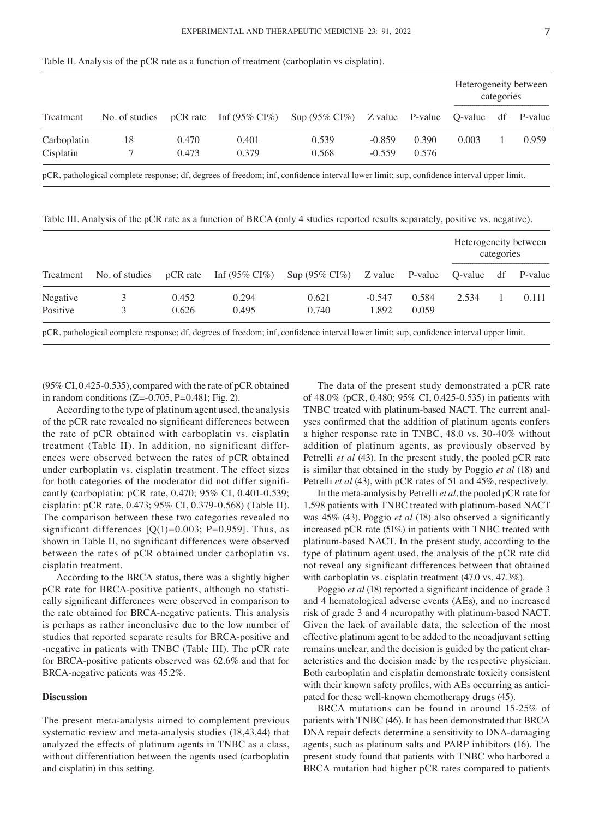|             |    |       |                                         |                                                             |          |       | Heterogeneity between | categories |       |
|-------------|----|-------|-----------------------------------------|-------------------------------------------------------------|----------|-------|-----------------------|------------|-------|
| Treatment   |    |       | No. of studies $pCR$ rate Inf (95% CI%) | $\text{Sup (95\% CI\%)}$ Z value P-value Q-value df P-value |          |       |                       |            |       |
| Carboplatin | 18 | 0.470 | 0.401                                   | 0.539                                                       | $-0.859$ | 0.390 | 0.003                 |            | 0.959 |
| Cisplatin   |    | 0.473 | 0.379                                   | 0.568                                                       | $-0.559$ | 0.576 |                       |            |       |

Table II. Analysis of the pCR rate as a function of treatment (carboplatin vs cisplatin).

pCR, pathological complete response; df, degrees of freedom; inf, confidence interval lower limit; sup, confidence interval upper limit.

Table III. Analysis of the pCR rate as a function of BRCA (only 4 studies reported results separately, positive vs. negative).

|          |       |       |                                                                                                  |          |       | Heterogeneity between | categories |       |
|----------|-------|-------|--------------------------------------------------------------------------------------------------|----------|-------|-----------------------|------------|-------|
|          |       |       | Treatment No. of studies pCR rate Inf (95% CI%) Sup (95% CI%) Z value P-value Q-value df P-value |          |       |                       |            |       |
| Negative | 0.452 | 0.294 | 0.621                                                                                            | $-0.547$ | 0.584 | 2.534                 |            | 0.111 |
| Positive | 0.626 | 0.495 | 0.740                                                                                            | 1.892    | 0.059 |                       |            |       |

pCR, pathological complete response; df, degrees of freedom; inf, confidence interval lower limit; sup, confidence interval upper limit.

(95% CI, 0.425‑0.535), compared with the rate of pCR obtained in random conditions  $(Z=0.705, P=0.481; Fig. 2)$ .

According to the type of platinum agent used, the analysis of the pCR rate revealed no significant differences between the rate of pCR obtained with carboplatin vs. cisplatin treatment (Table II). In addition, no significant differences were observed between the rates of pCR obtained under carboplatin vs. cisplatin treatment. The effect sizes for both categories of the moderator did not differ significantly (carboplatin: pCR rate, 0.470; 95% CI, 0.401‑0.539; cisplatin: pCR rate, 0.473; 95% CI, 0.379‑0.568) (Table II). The comparison between these two categories revealed no significant differences  $[O(1)=0.003; P=0.959]$ . Thus, as shown in Table II, no significant differences were observed between the rates of pCR obtained under carboplatin vs. cisplatin treatment.

According to the BRCA status, there was a slightly higher pCR rate for BRCA-positive patients, although no statistically significant differences were observed in comparison to the rate obtained for BRCA‑negative patients. This analysis is perhaps as rather inconclusive due to the low number of studies that reported separate results for BRCA‑positive and ‑negative in patients with TNBC (Table III). The pCR rate for BRCA‑positive patients observed was 62.6% and that for BRCA‑negative patients was 45.2%.

# **Discussion**

The present meta-analysis aimed to complement previous systematic review and meta‑analysis studies (18,43,44) that analyzed the effects of platinum agents in TNBC as a class, without differentiation between the agents used (carboplatin and cisplatin) in this setting.

The data of the present study demonstrated a pCR rate of 48.0% (pCR, 0.480; 95% CI, 0.425‑0.535) in patients with TNBC treated with platinum-based NACT. The current analyses confirmed that the addition of platinum agents confers a higher response rate in TNBC, 48.0 vs. 30‑40% without addition of platinum agents, as previously observed by Petrelli *et al* (43). In the present study, the pooled pCR rate is similar that obtained in the study by Poggio *et al* (18) and Petrelli *et al* (43), with pCR rates of 51 and 45%, respectively.

In the meta‑analysis by Petrelli *et al*, the pooled pCR rate for 1,598 patients with TNBC treated with platinum‑based NACT was 45% (43). Poggio *et al* (18) also observed a significantly increased pCR rate (51%) in patients with TNBC treated with platinum‑based NACT. In the present study, according to the type of platinum agent used, the analysis of the pCR rate did not reveal any significant differences between that obtained with carboplatin vs. cisplatin treatment (47.0 vs. 47.3%).

Poggio *et al* (18) reported a significant incidence of grade 3 and 4 hematological adverse events (AEs), and no increased risk of grade 3 and 4 neuropathy with platinum‑based NACT. Given the lack of available data, the selection of the most effective platinum agent to be added to the neoadjuvant setting remains unclear, and the decision is guided by the patient characteristics and the decision made by the respective physician. Both carboplatin and cisplatin demonstrate toxicity consistent with their known safety profiles, with AEs occurring as anticipated for these well-known chemotherapy drugs (45).

BRCA mutations can be found in around 15‑25% of patients with TNBC (46). It has been demonstrated that BRCA DNA repair defects determine a sensitivity to DNA‑damaging agents, such as platinum salts and PARP inhibitors (16). The present study found that patients with TNBC who harbored a BRCA mutation had higher pCR rates compared to patients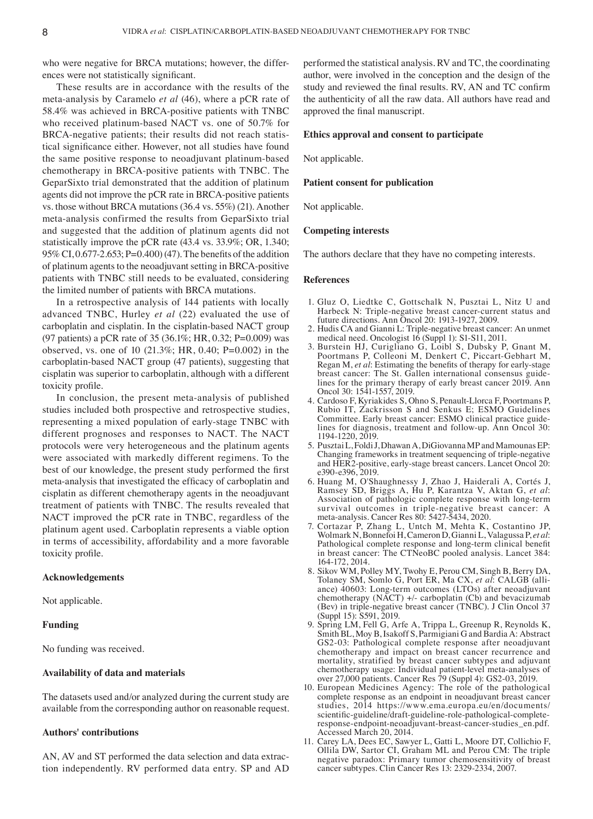who were negative for BRCA mutations; however, the differences were not statistically significant.

These results are in accordance with the results of the meta‑analysis by Caramelo *et al* (46), where a pCR rate of 58.4% was achieved in BRCA‑positive patients with TNBC who received platinum-based NACT vs. one of 50.7% for BRCA-negative patients; their results did not reach statistical significance either. However, not all studies have found the same positive response to neoadjuvant platinum-based chemotherapy in BRCA‑positive patients with TNBC. The GeparSixto trial demonstrated that the addition of platinum agents did not improve the pCR rate in BRCA‑positive patients vs. those without BRCA mutations (36.4 vs. 55%) (21). Another meta‑analysis confirmed the results from GeparSixto trial and suggested that the addition of platinum agents did not statistically improve the pCR rate (43.4 vs. 33.9%; OR, 1.340; 95% CI, 0.677‑2.653; P=0.400)(47). The benefits of the addition of platinum agents to the neoadjuvant setting in BRCA‑positive patients with TNBC still needs to be evaluated, considering the limited number of patients with BRCA mutations.

In a retrospective analysis of 144 patients with locally advanced TNBC, Hurley *et al* (22) evaluated the use of carboplatin and cisplatin. In the cisplatin‑based NACT group (97 patients) a pCR rate of 35 (36.1%; HR, 0.32; P=0.009) was observed, vs. one of 10 (21.3%; HR, 0.40; P=0.002) in the carboplatin‑based NACT group (47 patients), suggesting that cisplatin was superior to carboplatin, although with a different toxicity profile.

In conclusion, the present meta-analysis of published studies included both prospective and retrospective studies, representing a mixed population of early‑stage TNBC with different prognoses and responses to NACT. The NACT protocols were very heterogeneous and the platinum agents were associated with markedly different regimens. To the best of our knowledge, the present study performed the first meta‑analysis that investigated the efficacy of carboplatin and cisplatin as different chemotherapy agents in the neoadjuvant treatment of patients with TNBC. The results revealed that NACT improved the pCR rate in TNBC, regardless of the platinum agent used. Carboplatin represents a viable option in terms of accessibility, affordability and a more favorable toxicity profile.

## **Acknowledgements**

Not applicable.

## **Funding**

No funding was received.

# **Availability of data and materials**

The datasets used and/or analyzed during the current study are available from the corresponding author on reasonable request.

### **Authors' contributions**

AN, AV and ST performed the data selection and data extraction independently. RV performed data entry. SP and AD performed the statistical analysis. RV and TC, the coordinating author, were involved in the conception and the design of the study and reviewed the final results. RV, AN and TC confirm the authenticity of all the raw data. All authors have read and approved the final manuscript.

## **Ethics approval and consent to participate**

Not applicable.

## **Patient consent for publication**

Not applicable.

## **Competing interests**

The authors declare that they have no competing interests.

#### **References**

- 1. Gluz O, Liedtke C, Gottschalk N, Pusztai L, Nitz U and Harbeck N: Triple-negative breast cancer-current status and future directions. Ann Oncol 20: 1913‑1927, 2009.
- 2. Hudis CA and Gianni L: Triple-negative breast cancer: An unmet medical need. Oncologist 16 (Suppl 1): S1‑S11, 2011.
- 3. Burstein HJ, Curigliano G, Loibl S, Dubsky P, Gnant M, Poortmans P, Colleoni M, Denkert C, Piccart‑Gebhart M, Regan M, *et al*: Estimating the benefits of therapy for early‑stage breast cancer: The St. Gallen international consensus guidelines for the primary therapy of early breast cancer 2019. Ann Oncol 30: 1541‑1557, 2019.
- 4. Cardoso F, Kyriakides S, Ohno S, Penault‑Llorca F, Poortmans P, Rubio IT, Zackrisson S and Senkus E; ESMO Guidelines Committee. Early breast cancer: ESMO clinical practice guidelines for diagnosis, treatment and follow‑up. Ann Oncol 30: 1194‑1220, 2019.
- 5. Pusztai L, Foldi J, Dhawan A, DiGiovanna MP and Mamounas EP: Changing frameworks in treatment sequencing of triple‑negative and HER2‑positive, early‑stage breast cancers. Lancet Oncol 20: e390‑e396, 2019.
- 6. Huang M, O'Shaughnessy J, Zhao J, Haiderali A, Cortés J, Ramsey SD, Briggs A, Hu P, Karantza V, Aktan G, *et al*: Association of pathologic complete response with long-term survival outcomes in triple‑negative breast cancer: A meta‑analysis. Cancer Res 80: 5427‑5434, 2020.
- 7. Cortazar P, Zhang L, Untch M, Mehta K, Costantino JP, Wolmark N, Bonnefoi H, Cameron D, Gianni L, Valagussa P, *et al*: Pathological complete response and long-term clinical benefit in breast cancer: The CTNeoBC pooled analysis. Lancet 384: 164‑172, 2014.
- 8. Sikov WM, Polley MY, Twohy E, Perou CM, Singh B, Berry DA, Tolaney SM, Somlo G, Port ER, Ma CX, et al: CALGB (alliance) 40603: Long-term outcomes (LTOs) after neoadjuvant chemotherapy  $(N\text{ACT}) +$  carboplatin (Cb) and bevacizumab (Bev) in triple-negative breast cancer (TNBC). J Clin Oncol 37 (Suppl 15): S591, 2019.
- 9. Spring LM, Fell G, Arfe A, Trippa L, Greenup R, Reynolds K, Smith BL, Moy B, Isakoff S, Parmigiani G and Bardia A: Abstract GS2‑03: Pathological complete response after neoadjuvant chemotherapy and impact on breast cancer recurrence and mortality, stratified by breast cancer subtypes and adjuvant chemotherapy usage: Individual patient‑level meta‑analyses of over 27,000 patients. Cancer Res 79 (Suppl 4): GS2‑03, 2019.
- 10. European Medicines Agency: The role of the pathological complete response as an endpoint in neoadjuvant breast cancer studies, 2014 https://www.ema.europa.eu/en/documents/<br>scientific-guideline/draft-guideline-role-pathological-completeresponse-endpoint-neoadjuvant-breast-cancer-studies\_en.pdf. Accessed March 20, 2014.
- 11. Carey LA, Dees EC, Sawyer L, Gatti L, Moore DT, Collichio F, Ollila DW, Sartor CI, Graham ML and Perou CM: The triple negative paradox: Primary tumor chemosensitivity of breast cancer subtypes. Clin Cancer Res 13: 2329‑2334, 2007.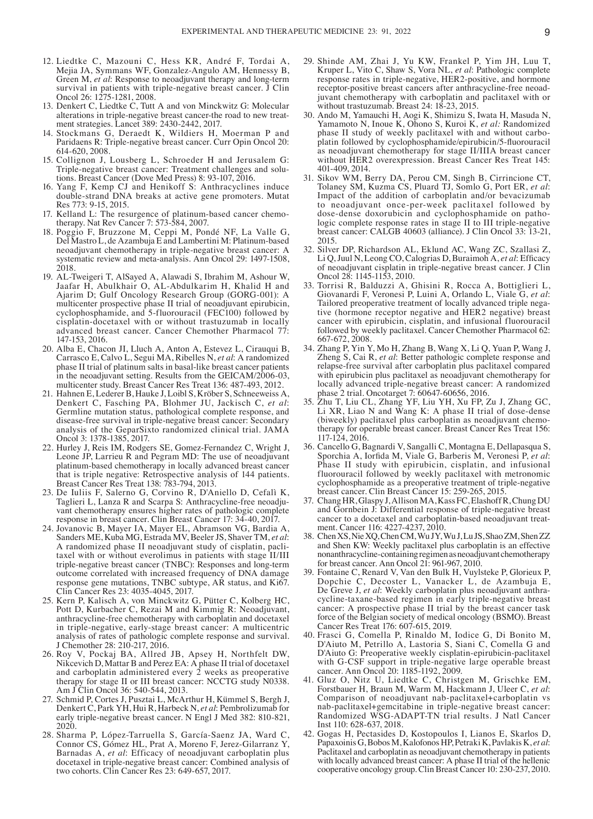- 12. Liedtke C, Mazouni C, Hess KR, André F, Tordai A, Mejia JA, Symmans WF, Gonzalez‑Angulo AM, Hennessy B, Green M, *et al*: Response to neoadjuvant therapy and long-term survival in patients with triple-negative breast cancer. J Clin Oncol 26: 1275‑1281, 2008.
- 13. Denkert C, Liedtke C, Tutt A and von Minckwitz G: Molecular alterations in triple-negative breast cancer-the road to new treatment strategies. Lancet 389: 2430‑2442, 2017.
- 14. Stockmans G, Deraedt K, Wildiers H, Moerman P and Paridaens R: Triple‑negative breast cancer. Curr Opin Oncol 20: 614‑620, 2008.
- 15. Collignon J, Lousberg L, Schroeder H and Jerusalem G: Triple-negative breast cancer: Treatment challenges and solutions. Breast Cancer (Dove Med Press) 8: 93‑107, 2016.
- 16. Yang F, Kemp CJ and Henikoff S: Anthracyclines induce double‑strand DNA breaks at active gene promoters. Mutat Res 773: 9‑15, 2015.
- 17. Kelland L: The resurgence of platinum-based cancer chemotherapy. Nat Rev Cancer 7: 573‑584, 2007.
- 18. Poggio F, Bruzzone M, Ceppi M, Pondé NF, La Valle G, Del Mastro L, de Azambuja E and Lambertini M: Platinum‑based neoadjuvant chemotherapy in triple‑negative breast cancer: A systematic review and meta-analysis. Ann Oncol 29: 1497-1508, 2018.
- 19. AL‑Tweigeri T, AlSayed A, Alawadi S, Ibrahim M, Ashour W, Jaafar H, Abulkhair O, AL‑Abdulkarim H, Khalid H and Ajarim D; Gulf Oncology Research Group (GORG‑001): A multicenter prospective phase II trial of neoadjuvant epirubicin, cyclophosphamide, and 5‑fluorouracil (FEC100) followed by cisplatin‑docetaxel with or without trastuzumab in locally advanced breast cancer. Cancer Chemother Pharmacol 77: 147‑153, 2016.
- 20. Alba E, Chacon JI, Lluch A, Anton A, Estevez L, Cirauqui B, Carrasco E, Calvo L, Segui MA, Ribelles N, *et al*: A randomized phase II trial of platinum salts in basal‑like breast cancer patients in the neoadjuvant setting. Results from the GEICAM/2006‑03, multicenter study. Breast Cancer Res Treat 136: 487‑493, 2012.
- 21. Hahnen E, Lederer B, Hauke J, Loibl S, Kröber S, Schneeweiss A, Denkert C, Fasching PA, Blohmer JU, Jackisch C, *et al*: Germline mutation status, pathological complete response, and disease‑free survival in triple‑negative breast cancer: Secondary analysis of the GeparSixto randomized clinical trial. JAMA Oncol 3: 1378‑1385, 2017.
- 22. Hurley J, Reis IM, Rodgers SE, Gomez‑Fernandez C, Wright J, Leone JP, Larrieu R and Pegram MD: The use of neoadjuvant platinum‑based chemotherapy in locally advanced breast cancer that is triple negative: Retrospective analysis of 144 patients. Breast Cancer Res Treat 138: 783‑794, 2013.
- 23. De Iuliis F, Salerno G, Corvino R, D'Aniello D, Cefalì K, Taglieri L, Lanza R and Scarpa S: Anthracycline-free neoadjuvant chemotherapy ensures higher rates of pathologic complete response in breast cancer. Clin Breast Cancer 17: 34‑40, 2017.
- 24. Jovanovic B, Mayer IA, Mayer EL, Abramson VG, Bardia A, Sanders ME, Kuba MG, Estrada MV, Beeler JS, Shaver TM, *et al*: A randomized phase II neoadjuvant study of cisplatin, pacli‑ taxel with or without everolimus in patients with stage II/III triple-negative breast cancer (TNBC): Responses and long-term outcome correlated with increased frequency of DNA damage response gene mutations, TNBC subtype, AR status, and Ki67. Clin Cancer Res 23: 4035‑4045, 2017.
- 25. Kern P, Kalisch A, von Minckwitz G, Pütter C, Kolberg HC, Pott D, Kurbacher C, Rezai M and Kimmig R: Neoadjuvant, anthracycline‑free chemotherapy with carboplatin and docetaxel in triple-negative, early-stage breast cancer: A multicentric analysis of rates of pathologic complete response and survival. J Chemother 28: 210‑217, 2016.
- 26. Roy V, Pockaj BA, Allred JB, Apsey H, Northfelt DW, Nikcevich D, Mattar B and Perez EA: A phase II trial of docetaxel and carboplatin administered every 2 weeks as preoperative therapy for stage II or III breast cancer: NCCTG study N0338. Am J Clin Oncol 36: 540-544, 2013.
- 27. Schmid P, Cortes J, Pusztai L, McArthur H, Kümmel S, Bergh J, Denkert C, Park YH, Hui R, Harbeck N, *et al*: Pembrolizumab for early triple-negative breast cancer. N Engl J Med 382: 810-821, 2020.
- 28. Sharma P, López‑Tarruella S, García‑Saenz JA, Ward C, Connor CS, Gómez HL, Prat A, Moreno F, Jerez‑Gilarranz Y, Barnadas A, *et al*: Efficacy of neoadjuvant carboplatin plus docetaxel in triple‑negative breast cancer: Combined analysis of two cohorts. Clin Cancer Res 23: 649‑657, 2017.
- 29. Shinde AM, Zhai J, Yu KW, Frankel P, Yim JH, Luu T, Kruper L, Vito C, Shaw S, Vora NL, *et al*: Pathologic complete response rates in triple‑negative, HER2‑positive, and hormone receptor-positive breast cancers after anthracycline-free neoadjuvant chemotherapy with carboplatin and paclitaxel with or without trastuzumab. Breast 24: 18‑23, 2015.
- 30. Ando M, Yamauchi H, Aogi K, Shimizu S, Iwata H, Masuda N, Yamamoto N, Inoue K, Ohono S, Kuroi K, *et al:* Randomized phase II study of weekly paclitaxel with and without carboplatin followed by cyclophosphamide/epirubicin/5‑fluorouracil as neoadjuvant chemotherapy for stage II/IIIA breast cancer without HER2 overexpression. Breast Cancer Res Treat 145: 401‑409, 2014.
- 31. Sikov WM, Berry DA, Perou CM, Singh B, Cirrincione CT, Tolaney SM, Kuzma CS, Pluard TJ, Somlo G, Port ER, *et al*: Impact of the addition of carboplatin and/or bevacizumab to neoadjuvant once-per-week paclitaxel followed by dose-dense doxorubicin and cyclophosphamide on pathologic complete response rates in stage II to III triple-negative breast cancer: CALGB 40603 (alliance). J Clin Oncol 33: 13-21, 2015.
- 32. Silver DP, Richardson AL, Eklund AC, Wang ZC, Szallasi Z, Li Q, Juul N, Leong CO, Calogrias D, Buraimoh A, *et al*: Efficacy of neoadjuvant cisplatin in triple‑negative breast cancer. J Clin Oncol 28: 1145‑1153, 2010.
- 33. Torrisi R, Balduzzi A, Ghisini R, Rocca A, Bottiglieri L, Giovanardi F, Veronesi P, Luini A, Orlando L, Viale G, *et al*: tive (hormone receptor negative and HER2 negative) breast cancer with epirubicin, cisplatin, and infusional fluorouracil followed by weekly paclitaxel. Cancer Chemother Pharmacol 62: 667‑672, 2008.
- 34. Zhang P, Yin Y, Mo H, Zhang B, Wang X, Li Q, Yuan P, Wang J, Zheng S, Cai R, *et al*: Better pathologic complete response and relapse‑free survival after carboplatin plus paclitaxel compared with epirubicin plus paclitaxel as neoadjuvant chemotherapy for locally advanced triple‑negative breast cancer: A randomized phase 2 trial. Oncotarget 7: 60647‑60656, 2016.
- 35. Zhu T, Liu CL, Zhang YF, Liu YH, Xu FP, Zu J, Zhang GC, Li XR, Liao N and Wang K: A phase II trial of dose-dense (biweekly) paclitaxel plus carboplatin as neoadjuvant chemotherapy for operable breast cancer. Breast Cancer Res Treat 156: 117‑124, 2016.
- 36. Cancello G, Bagnardi V, Sangalli C, Montagna E, Dellapasqua S, Sporchia A, Iorfida M, Viale G, Barberis M, Veronesi P, *et al*: Phase II study with epirubicin, cisplatin, and infusional fluorouracil followed by weekly paclitaxel with metronomic cyclophosphamide as a preoperative treatment of triple-negative breast cancer. Clin Breast Cancer 15: 259‑265, 2015.
- 37. Chang HR, Glaspy J, Allison MA, Kass FC, Elashoff R, Chung DU and Gornbein J. Differential response of triple-negative breast cancer to a docetaxel and carboplatin-based neoadjuvant treatment. Cancer 116: 4227‑4237, 2010.
- 38. ChenXS, NieXQ, ChenCM, Wu JY, Wu J, Lu JS, ShaoZM, ShenZZ and Shen KW: Weekly paclitaxel plus carboplatin is an effective nonanthracycline‑containing regimen as neoadjuvant chemotherapy for breast cancer. Ann Oncol 21: 961‑967, 2010.
- 39. Fontaine C, Renard V, Van den Bulk H, Vuylsteke P, Glorieux P, Dopchie C, Decoster L, Vanacker L, de Azambuja E, De Greve J, et al: Weekly carboplatin plus neoadjuvant anthracycline‑taxane‑based regimen in early triple‑negative breast cancer: A prospective phase II trial by the breast cancer task force of the Belgian society of medical oncology (BSMO). Breast Cancer Res Treat 176: 607‑615, 2019.
- 40. Frasci G, Comella P, Rinaldo M, Iodice G, Di Bonito M, D'Aiuto M, Petrillo A, Lastoria S, Siani C, Comella G and D'Aiuto G: Preoperative weekly cisplatin‑epirubicin‑paclitaxel with G-CSF support in triple-negative large operable breast cancer. Ann Oncol 20: 1185‑1192, 2009.
- 41. Gluz O, Nitz U, Liedtke C, Christgen M, Grischke EM, Forstbauer H, Braun M, Warm M, Hackmann J, Uleer C, *et al*: Comparison of neoadjuvant nab‑paclitaxel+carboplatin vs nab‑paclitaxel+gemcitabine in triple‑negative breast cancer: Randomized WSG‑ADAPT‑TN trial results. J Natl Cancer Inst 110: 628‑637, 2018.
- 42. Gogas H, Pectasides D, Kostopoulos I, Lianos E, Skarlos D, Papaxoinis G, Bobos M, Kalofonos HP, Petraki K, Pavlakis K, *et al*: Paclitaxel and carboplatin as neoadjuvant chemotherapy in patients with locally advanced breast cancer: A phase II trial of the hellenic cooperative oncology group. Clin Breast Cancer 10: 230‑237, 2010.